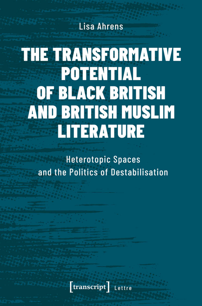# Lisa Ahrens

# **THE TRANSFORMATIVE POTENTIAL** OF BLACK BRITISH **AND BRITISH MUSLIM LITERATURE**

**Heterotopic Spaces** and the Politics of Destabilisation

[transcript] Lettre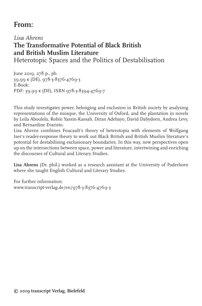# **From:**

*Lisa Ahrens* **The Transformative Potential of Black British and British Muslim Literature** Heterotopic Spaces and the Politics of Destabilisation

June 2019, 278 p., pb. 39,99 € (DE), 978-3-8376-4769-3 E-Book: PDF: 39,99 € (DE), ISBN 978-3-8394-4769-7

This study investigates power, belonging and exclusion in British society by analysing representations of the mosque, the University of Oxford, and the plantation in novels by Leila Aboulela, Robin Yassin-Kassab, Diran Adebayo, David Dabydeen, Andrea Levy, and Bernardine Evaristo.

Lisa Ahrens combines Foucault's theory of heterotopia with elements of Wolfgang Iser's reader-response theory to work out Black British and British Muslim literature's potential for destabilising exclusionary boundaries. In this way, new perspectives open up on the intersections between space, power and literature, intertwining and enriching the discourses of Cultural and Literary Studies.

**Lisa Ahrens** (Dr. phil.) worked as a research assistant at the University of Paderborn where she taught English Cultural and Literary Studies.

For further information: www.transcript-verlag.de/en/978-3-8376-4769-3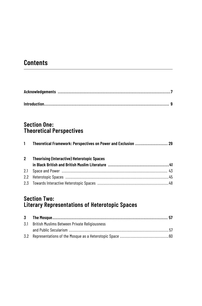## **Contents**

#### **Section One: Theoretical Perspectives**

| 1 Theoretical Framework: Perspectives on Power and Exclusion  29 |  |
|------------------------------------------------------------------|--|
| 2 Theorising (Interactive) Heterotopic Spaces                    |  |
|                                                                  |  |
|                                                                  |  |
|                                                                  |  |
|                                                                  |  |

#### **Section Two: Literary Representations of Heterotopic Spaces**

| 3.1 British Muslims Between Private Religiousness |  |
|---------------------------------------------------|--|
|                                                   |  |
|                                                   |  |
|                                                   |  |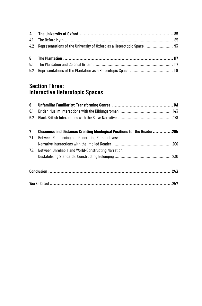| 4.2 Representations of the University of Oxford as a Heterotopic Space  93 |  |
|----------------------------------------------------------------------------|--|
|                                                                            |  |

#### **Section Three: Interactive Heterotopic Spaces**

| 6   |                                                                          |  |
|-----|--------------------------------------------------------------------------|--|
| 6.1 |                                                                          |  |
| 6.2 |                                                                          |  |
| 7   | Closeness and Distance: Creating Ideological Positions for the Reader205 |  |
| 7.1 | Between Reinforcing and Generating Perspectives:                         |  |
|     |                                                                          |  |
| 7.2 | Between Unreliable and World-Constructing Narration:                     |  |
|     |                                                                          |  |
|     |                                                                          |  |
|     |                                                                          |  |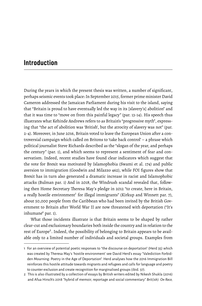### **Introduction**

During the years in which the present thesis was written, a number of significant, perhaps seismic events took place: In September 2015, former prime minister David Cameron addressed the Jamaican Parliament during his visit to the island, saying that "Britain is proud to have eventually led the way in its [slavery's] abolition" and that it was time to "move on from this painful legacy" (par. 13-14). His speech thus illustrates what Kehinde Andrews refers to as Britain's "progressive myth", expressing that "the act of abolition was 'British', but the atrocity of slavery was not" (par. 2-4). Moreover, in June 2016, Britain voted to leave the European Union after a controversial campaign which called on Britons to 'take back control' – a phrase which political journalist Steve Richards described as the "slogan of the year, and perhaps the century" (par. 1), and which seems to represent a sentiment of fear and conservatism. Indeed, recent studies have found clear indicators which suggest that the vote for Brexit was motivated by Islamophobia (Swami et al. 174) and public aversion to immigration (Goodwin and Milazzo 462), while FOI figures show that Brexit has in turn also generated a dramatic increase in racist and Islamophobic attacks (Bulman par. 1) And in 2018, the Windrush scandal revealed that, following then Home Secretary Theresa May's pledge in 2012 "to create, here in Britain, a really hostile environment<sup>1</sup> for illegal immigrants" (Kirkup and Winnett par. 7), about 50,000 people from the Caribbean who had been invited by the British Government to Britain after World War II are now threatened with deportation ("It's inhumane" par. 1).

What those incidents illustrate is that Britain seems to be shaped by rather clear‐cut and exclusionary boundaries both inside the country and in relation to the rest of Europe<sup>2</sup>. Indeed, the possibility of belonging to Britain appears to be available only to a limited number of individuals and societal groups. Examples from

<sup>1</sup> For an overview of potential poetic responses to "the discourse on deportation" (Herd 35) which was created by Theresa May's 'hostile environment' see David Herd's essay "Valediction Forbidden Mourning: Poetry in the Age of Deportation". Herd analyses how the 2016 Immigration Bill reinforces this hostile attitude towards migrants and refugees and calls for language and poetry to counter exclusion and create recognition for marginalised groups (ibid. 37).

<sup>2</sup> This is also illustrated by a collection of essays by British writers edited by Nikesh Shukla (2016) and Afua Hirsch's 2018 "hybrid of memoir, reportage and social commentary" *Brit(ish): On Race,*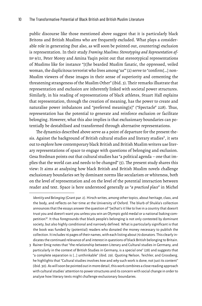public discourse like those mentioned above suggest that it is particularly black Britons and British Muslims who are frequently excluded. What plays a considerable role in generating (but also, as will soon be pointed out, countering) exclusion is representation. In their study *Framing Muslims: Stereotyping and Representation after 9/11*, Peter Morey and Amina Yaqin point out that stereotypical representations of Muslims like for instance "[t]he bearded Muslim fanatic, the oppressed, veiled woman, the duplicitous terrorist who lives among 'us'" (2) serve to "confirm[…] non-Muslim viewers of these images in their sense of superiority and cementing the threatening strangeness of the Muslim Other" (ibid. 3).Their remarks illustrate that representation and exclusion are inherently linked with societal power structures. Similarly, in his reading of representations of black athletes, Stuart Hall explains that representation, through the creation of meaning, has the power to create and naturalise power imbalances and "preferred meaning[s]" ("Spectacle" 228). Thus, representation has the potential to generate and reinforce exclusion or facilitate belonging. However, what this also implies is that exclusionary boundaries can potentially be destabilised and transformed through alternative representations.

The dynamics described above serve as a point of departure for the present thesis. Against the background of British cultural studies and literary studies<sup>3</sup>, it sets out to explore how contemporary black British and British Muslim writers use literary representations of space to engage with questions of belonging and exclusion. Gesa Stedman points out that cultural studies has "a political agenda – one that implies that the world can and needs to be changed" (5). The present study shares this view: It aims at analysing how black British and British Muslim novels challenge exclusionary boundaries set by dominant norms like secularism or whiteness, both on the level of representation and on the level of the potential interaction between reader and text. Space is here understood generally as "*a practiced place*" in Michel

*Identity and Belonging* (Grant par. 2). Hirsch writes, among other topics, about heritage, class, and the body, and reflects on her time at the University of Oxford. The blurb of Shukla's collection announces that the essays answer the question of "[w]hat's it like to live in a country that doesn't trust you and doesn't want you unless you win an Olympic gold medal or a national baking competition?". It thus foregrounds that black people's belonging is not only contested by dominant society, but also highly conditional and narrowly defined. What is particularly significant is that the book was funded by (potential) readers who donated the money necessary to publish the collection. It includes 16 pages of their names, with each listing about 70 donators. This clearly indicates the continued relevance of and interest in questions of black British belonging to Britain.

<sup>3</sup> Rainer Emig notes that "the relationship between Literary and Cultural studies in Germany, and particularly in the context of British Studies in Germany, is a special one" (28) and suggests that "a complete separation is […] unthinkable" (ibid. 29). Quoting Nelson, Teichler, and Grossberg, he highlights that "Cultural studies involves *how* and *why* such work is done, not just its content" (ibid. 30). As will soon be pointed out in more detail, this work combines a close reading approach with cultural studies' attention to power structures and its concern with social change in order to analyse how literary texts might challenge exclusionary boundaries.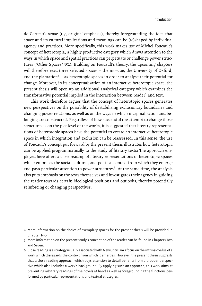de Certeau's sense (117, original emphasis), thereby foregrounding the idea that space and its cultural implications and meanings can be (re)shaped by individual agency and practices. More specifically, this work makes use of Michel Foucault's concept of heterotopia, a highly productive category which draws attention to the ways in which space and spatial practices can perpetuate or challenge power structures ("Other Spaces" 352). Building on Foucault's theory, the upcoming chapters will therefore read three selected spaces – the mosque, the University of Oxford, and the plantation<sup>4</sup> – as heterotopic spaces in order to analyse their potential for change. Moreover, in its conceptualisation of an interactive heterotopic space, the present thesis will open up an additional analytical category which examines the transformative potential implied in the interaction between reader<sup>5</sup> and text.

This work therefore argues that the concept of heterotopic spaces generates new perspectives on the possibility of destabilising exclusionary boundaries and changing power relations, as well as on the ways in which marginalisation and belonging are constructed. Regardless of how successful the attempt to change those structures is on the plot level of the works, it is suggested that literary representations of heterotopic spaces have the potential to create an interactive heterotopic space in which integration and exclusion can be reassessed. In this sense, the use of Foucault's concept put forward by the present thesis illustrates how heterotopia can be applied programmatically to the study of literary texts: The approach employed here offers a close reading of literary representations of heterotopic spaces which embraces the social, cultural, and political context from which they emerge and pays particular attention to power structures $^6$ . At the same time, the analysis also puts emphasis on the texts themselves and investigates their agency in guiding the reader towards certain ideological positions and outlooks, thereby potentially reinforcing or changing perspectives.

<sup>4</sup> More information on the choice of exemplary spaces for the present thesis will be provided in Chapter Two.

<sup>5</sup> More information on the present study's conception of the reader can be found in Chapters Two and Seven.

<sup>6</sup> Close reading is a strategy usually associated with New Criticism's focus on the intrinsic value of a work which disregards the context from which it emerges. However, the present thesis suggests that a close reading approach which pays attention to detail benefits from a broader perspective which also includes a work's background. By applying such an approach, this work aims at preventing arbitrary readings of the novels at hand as well as foregrounding the functions performed by particular representations and textual strategies.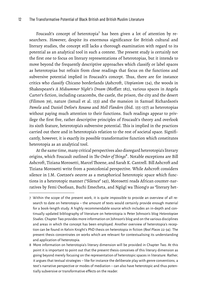Foucault's concept of heterotopia<sup>7</sup> has been given a lot of attention by researchers. However, despite its enormous significance for British cultural and literary studies, the concept still lacks a thorough examination with regard to its potential as an analytical tool in such a context. The present study is certainly not the first one to focus on literary representations of heterotopias, but it intends to move beyond the frequently descriptive approaches which classify or label spaces as heterotopias but refrain from close readings that focus on the functions and subversive potential implied in Foucault's concept. Thus, there are for instance critics who classify Chicano borderlands (Ashcroft, *Utopianism* 134), the woods in Shakespeare's *A Midsummer Night's Dream* (Moffatt 182), various spaces in Angela Carter's fiction, including catacombs, the castle, the prison, the city and the desert (Filimon 39), nature (Ismail et al. 153) and the mansion in Samuel Richardson's *Pamela* and Daniel Defoe's *Roxana* and *Moll Flanders* (ibid. 155-157) as heterotopias without paying much attention to their functions. Such readings appear to privilege the first five, rather descriptive principles of Foucault's theory and overlook its sixth feature, heterotopia's subversive potential. This is implied in the practices carried out there and in heterotopia's relation to the rest of societal space. Significantly, however, it is exactly its possible transformative function which constitutes heterotopia as an analytical tool.

At the same time, many critical perspectives also disregard heterotopia's literary origins, which Foucault outlined in *The Order of Things*8 . Notable exceptions are Bill Ashcroft, Tiziana Morosetti, Marcel Thoene, and Sarah K. Cantrell. Bill Ashcroft and Tiziana Morosetti write from a postcolonial perspective. While Ashcroft considers silence in J.M. Coetzee's oeuvre as a metaphorical heterotopic space which functions in a heterotopic manner ("Silence" 145), Morosetti reads African counter‐narratives by Femi Osofisan, Buchi Emecheta, and Ngũgĩ wa Thiong'o as "literary het-

<sup>7</sup> Within the scope of the present work, it is quite impossible to provide an overview of all research to date on heterotopia – the amount of texts would certainly provide enough material for a book-length study. A highly recommendable source which includes an in-depth and continually updated bibliography of literature on heterotopia is Peter Johnson's blog *Heterotopian Studies*. Chapter Two provides more information on Johnson's blog and on the various disciplines and areas in which the concept has been employed. Another overview of heterotopia's reception can be found in Kelvin Knight's PhD thesis on heterotopia in fiction (*Real Places* 22-34). The present thesis concentrates on works which are relevant for contextualising its understanding and application of heterotopia.

<sup>8</sup> More information on heterotopia's literary dimension will be provided in Chapter Two. At this point it is important to point out that the present thesis conceives of this literary dimension as going beyond merely focusing on the representation of heterotopic spaces in literature. Rather, it argues that textual strategies – like for instance the deliberate play with genre conventions, a text's narrative perspective or modes of mediation – can also have heterotopic and thus potentially subversive or transformative effects on the reader.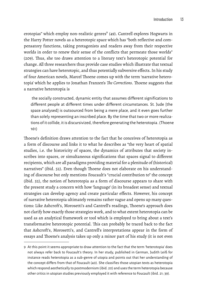erotopias" which employ non-realistic genres<sup>9</sup> (49). Cantrell explores Hogwarts in the Harry Potter novels as a heterotopic space which has "both reflective and compensatory functions, taking protagonists and readers away from their respective worlds in order to renew their sense of the conflicts that permeate those worlds" (209). Thus, she too draws attention to a literary text's heterotopic potential for change. All three researchers thus provide case studies which illustrate that textual strategies can have heterotopic, and thus potentially subversive effects. In his study of four American novels, Marcel Thoene comes up with the term 'narrative heterotopia' which he applies to Jonathan Franzen's *The Corrections*. Thoene suggests that a narrative heterotopia is

the socially constructed, dynamic entity that assumes different significations to different people at different times under different circumstances. St. Jude [the space analysed] is outsourced from being a mere place, and it even goes further than solely representing an inscribed place. By the time that two or more realizations of it collide, it is discursivized, therefore generating the heterotopia. (Thoene 161)

Thoene's definition draws attention to the fact that he conceives of heterotopia as a form of discourse and links it to what he describes as "the very heart of spatial studies, i.e. the historicity of spaces, the dynamics of attributes that society inscribes into spaces, or simultaneous significations that spaces signal to different recipients, which are all paradigms providing material for a plenitude of (historical) narratives" (ibid. 52). Even though Thoene does not elaborate on his understanding of discourse but only mentions Foucault's "crucial contribution to" the concept (ibid. 52), the notion of heterotopia as a form of discourse appears to share with the present study a concern with how 'language' (in its broadest sense) and textual strategies can develop agency and create particular effects. However, his concept of narrative heterotopia ultimately remains rather vague and opens up many questions: Like Ashcroft's, Morosetti's and Cantrell's readings, Thoene's approach does not clarify how exactly those strategies work, and to what extent heterotopia can be used as an analytical framework or tool which is employed to bring about a text's transformative heterotopic potential. This can probably be traced back to the fact that Ashcroft's, Morosetti's, and Cantrell's interpretations appear in the form of essays and Thoene's analysis takes up only a minor part of his study (it is not even

<sup>9</sup> At this point it seems appropriate to draw attention to the fact that the term 'heterotopia' does not always refer back to Foucault's theory. In her study, published in German, Judith Leiß for instance reads heterotopia as a sub‐genre of utopia and points out that her understanding of the concept differs from that of Foucault (40). She classifies those utopian texts as heterotopia which respond aesthetically to postmodernism (ibid. 20) and uses the term heterotopia because other critics in utopian studies previously employed it with reference to Foucault (ibid. 21; 39).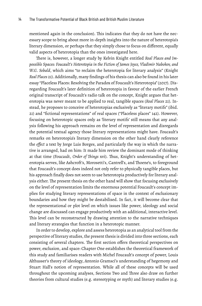mentioned again in the conclusion). This indicates that they do not have the necessary scope to bring about more in‐depth insights into the nature of heterotopia's literary dimension, or perhaps that they simply chose to focus on different, equally valid aspects of heterotopia than the ones investigated here.

There is, however, a longer study by Kelvin Knight entitled *Real Places and Impossible Spaces: Foucault's Heterotopia in the Fiction of James Joyce, Vladimir Nabokov, and W.G. Sebald*, which aims "to reclaim the heterotopia for literary analysis" (Knight *Real Places* 21). Additionally, many findings of his thesis can also be found in his later essay "Placeless Places: Resolving the Paradox of Foucault's Heterotopia" (2017). Disregarding Foucault's later definition of heterotopia in favour of the earlier French original transcript of Foucault's radio talk on the concept, Knight argues that heterotopia was never meant to be applied to real, tangible spaces (*Real Places* 21). Instead, he proposes to conceive of heterotopias exclusively as "literary motifs" (ibid. 21) and "fictional representations" of real spaces ("Placeless places" 142). However, focusing on heterotopic spaces only as 'literary motifs' still means that any analysis following his approach remains on the level of representation and disregards the potential textual agency those literary representations might have. Foucault's remarks on heterotopia's literary dimension on the other hand clearly reference the *effect* a text by Jorge Luis Borges, and particularly the way in which the narrative is arranged, had on him: It made him review the dominant mode of thinking at that time (Foucault, *Order of Things* xvi). Thus, Knight's understanding of heterotopia serves, like Ashcroft's, Morosetti's, Cantrell's, and Thoene's, to foreground that Foucault's concept does indeed not only refer to physically tangible places, but his approach finally does not seem to use heterotopia productively for literary analysis either. The present thesis on the other hand will show that focusing exclusively on the level of representation limits the enormous potential Foucault's concept implies for studying literary representations of space in the context of exclusionary boundaries and how they might be destabilised. In fact, it will become clear that the representational or plot level on which issues like power, ideology and social change are discussed can engage productively with an additional, interactive level. This level can be reconstructed by drawing attention to the narrative techniques and literary strategies that function in a heterotopic manner.

In order to develop, explore and assess heterotopia as an analytical tool from the perspective of literary studies, the present thesis is divided into three sections, each consisting of several chapters. The first section offers theoretical perspectives on power, exclusion, and space: Chapter One establishes the theoretical framework of this study and familiarises readers with Michel Foucault's concept of power, Louis Althusser's theory of ideology, Antonio Gramsci's understanding of hegemony and Stuart Hall's notion of representation. While all of these concepts will be used throughout the upcoming analyses, Sections Two and Three also draw on further theories from cultural studies (e.g. stereotyping or myth) and literary studies (e.g.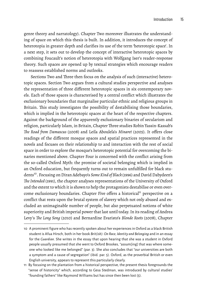genre theory and narratology). Chapter Two moreover illustrates the understanding of space on which this thesis is built. In addition, it introduces the concept of heterotopia in greater depth and clarifies its use of the term 'heterotopic space'. In a next step, it sets out to develop the concept of interactive heterotopic spaces by combining Foucault's notion of heterotopia with Wolfgang Iser's reader‐response theory. Such spaces are opened up by textual strategies which encourage readers to reassess established norms and outlooks.

Sections Two and Three then focus on the analysis of such (interactive) heterotopic spaces. Section Two argues from a cultural studies perspective and analyses the representation of three different heterotopic spaces in six contemporary novels. Each of those spaces is characterised by a central conflict which illustrates the exclusionary boundaries that marginalise particular ethnic and religious groups in Britain. This study investigates the possibility of destabilising those boundaries, which is implied in the heterotopic spaces at the heart of the respective chapters. Against the background of the apparently exclusionary binaries of secularism and religion, particularly Islam, in Britain, Chapter Three studies Robin Yassin-Kassab's *The Road from Damascus* (2008) and Leila Aboulela's *Minaret* (2005). It offers close readings of the different mosque spaces and spatial practices represented in the novels and focuses on their relationship to and interaction with the rest of social space in order to explore the mosque's heterotopic potential for overcoming the binaries mentioned above. Chapter Four is concerned with the conflict arising from the so-called Oxford Myth: the promise of societal belonging which is implied in an Oxford education, but frequently turns out to remain unfulfilled for black students10. Focusing on Diran Adebayo's *Some Kind of Black* (1996) and David Dabydeen's *The Intended* (1991), the chapter analyses representations of the University of Oxford and the extent to which it is shown to help the protagonists destabilise or even overcome exclusionary boundaries. Chapter Five offers a historical<sup>11</sup> perspective on a conflict that rests upon the brutal system of slavery which not only abused and excluded an unimaginable number of people, but also perpetuated notions of white superiority and British imperial power that last until today. In its reading of Andrea Levy's *The Long Song* (2010) and Bernardine Evaristo's *Blonde Roots* (2008), Chapter

<sup>10</sup> A prominent figure who has recently spoken about her experiences in Oxford as a black British student is Afua Hirsch, both in her book *Brit(ish): On Race, Identity and Belonging* and in an essay for the *Guardian*. She writes in the essay that upon hearing that she was a student in Oxford people usually presumed that she went to Oxford Brookes, "assum[ing] that was where someone who looked like me belonged" (par. 3). She also concludes that "our universities are both a symptom and a cause of segregation" (ibid. par. 5). Oxford, as the proverbial British or even English university, appears to represent this particularly clearly.

<sup>11</sup> By focusing on the plantation from a historical perspective, the present thesis foregrounds the "sense of historicity" which, according to Gesa Stedman, was introduced by cultural studies' "founding fathers" like Raymond Williams but has since then been lost (5).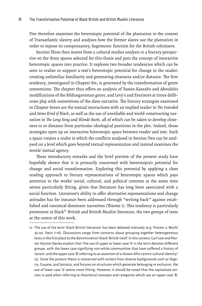Five therefore examines the heterotopic potential of the plantation in the context of Transatlantic slavery and analyses how the former slaves use the plantation in order to expose its compensatory, hegemonic function for the British colonisers.

Section Three then moves from a cultural studies analysis to a literary perspective on the three spaces selected for this thesis and puts the concept of interactive heterotopic spaces into practice. It explores two broader tendencies which can be seen to realise or support a text's heterotopic potential for change in the reader: creating unfamiliar familiarity and generating closeness and/or distance. The first tendency, investigated in Chapter Six, is generated by the transformation of genre conventions. The chapter thus offers an analysis of Yassin-Kassab's and Aboulela's modifications of the Bildungsroman genre, and Levy's and Evaristo's at times deliberate play with conventions of the slave narrative. The literary strategies examined in Chapter Seven are the textual interactions with an implied reader in *The Intended* and *Some Kind of Black*, as well as the use of unreliable and world‐constructing narration in *The Long Song* and *Blonde Roots*, all of which can be taken to develop closeness to or distance from particular ideological positions in the plot. Indeed, those strategies open up an interactive heterotopic space between reader and text. Such a space creates a realm in which the conflicts analysed in Section Two can be analysed on a level which goes beyond textual representation and instead examines the novels' textual agency.

These introductory remarks and the brief preview of the present study have hopefully shown that it is primarily concerned with heterotopia's potential for change and social transformation. Exploring this potential by applying a close reading approach to literary representations of heterotopic spaces which pays attention to the works' social, cultural, and political contexts at the same time seems particularly fitting, given that literature has long been associated with a social function. Literature's ability to offer alternative representations and change attitudes has for instance been addressed through "'writing back'" against established and canonical dominant narratives (Thieme 1). This tendency is particularly prominent in black<sup>12</sup> British and British Muslim literature, the two groups of texts at the centre of this work.

<sup>12</sup> The use of the term 'black British literature' has been debated intensely (e.g. Procter 5; Reichl 33-40; Stein 7-18). Discussions range from concerns about grouping together heterogeneous texts in the first place to the denomination 'black' British itself. In this context, Gail Low and Marion Wynne-Davies explain that "the use of upper or lower case 'b' in the term denotes different groups, with the lower case signifying non‐white communities that have suffered a history of racism, and the upper case 'B' referring to an assertion of a chosen Afro-centric cultural identity" (3). Since the present thesis is concerned with writers from diverse backgrounds such as Nigeria, Guyana, and Jamaica, and focuses on structures which generate belonging or exclusion, the use of lower case 'b' seems more fitting. However, it should be noted that the capitalised version is used when referring to theoretical concepts and categories which use an upper case 'B',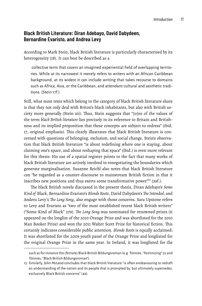#### **Black British Literature: Diran Adebayo, David Dabydeen, Bernardine Evaristo, and Andrea Levy**

According to Mark Stein, black British literature is particularly characterised by its heterogeneity (18). It can best be described as a

collective term that covers an imagined experiential field of overlapping territories. While at its narrowest it merely refers to writers with an African Caribbean background, at its widest it can include writing that takes recourse to domains such as Africa, Asia, or the Caribbean, and attendant cultural and aesthetic traditions. (Stein 17f.)

Still, what most texts which belong to the category of black British literature share is that they not only deal with Briton's black inhabitants, but also with British society more generally (Stein xii). Thus, Stein suggests that "[o]ne of the values of the term *black British literature* lies precisely in its reference to Britain and Britishness and its implied proposition that these concepts are subject to redress" (ibid. 17, original emphasis). This clearly illustrates that black British literature is concerned with questions of belonging, exclusion, and social change. Stein's observation that black British literature "is about redefining where one is staying, about claiming one's space, and about reshaping that space" (ibid.) is even more relevant for this thesis: His use of a spatial register points to the fact that many works of black British literature are actively involved in renegotiating the boundaries which generate marginalisation. Susanne Reichl also notes that black British literature can "be regarded as a counter‐discourse to mainstream British fiction in that it inscribes new positions and thus exerts some transformative power<sup>13</sup> (39f.).

The black British novels discussed in the present thesis, Diran Adebayo's *Some Kind of* Black, Bernardine Evaristo's *Blonde Roots*, David Dabydeen's *The Intended*, and Andera Levy's *The Long Song*, also engage with those concerns. Sara Upstone refers to Levy and Evaristo as "two of the most established recent black British writers" ("Some Kind of Black" 279). *The Long Song* was nominated for renowned prizes (it appeared on the longlist of the 2010 Orange Prize and was shortlisted for the 2010 Man Booker Prize) and won the 2011 Walter Scott Prize for historical fiction. This certainly indicates considerable public attention. *Blonde Roots* is equally acclaimed: It was shortlisted for the 2009 youth panel of the Orange Prize and longlisted for the original Orange Prize in the same year. In Ireland, it was longlisted for the

such as for instance the (female) Black British Bildungsroman (e.g. Tönnies, "Feminizing" 52 and Tönnies, "Black British Bildungsroman").

<sup>13</sup> Similarly, John McLeod concludes that black British literature "is often endeavouring to redraft an understanding of the nation and its people that is prompted by, but ultimately supersedes, exclusively Black British concerns" (46).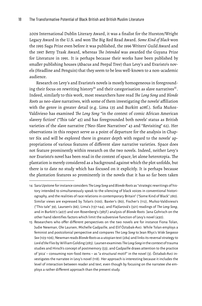2009 International Dublin Literary Award, it was a finalist for the Hurston/Wright Legacy Award in the U.S. and won The Big Red Read Award. *Some Kind of Black* won the 1995 Saga Prize even before it was published, the 1996 Writers' Guild Award and the 1997 Betty Trask Award, whereas *The Intended* was awarded the Guyana Prize for Literature in 1991. It is perhaps because their works have been published by smaller publishing houses (Abacus and Peepal Tree) than Levy's and Evaristo's novels (Headline and Penguin) that they seem to be less well‐known to a non‐academic audience.

Research on Levy's and Evaristo's novels is mostly homogeneous in foregrounding their focus on rewriting history $^{14}$  and their categorisation as slave narratives $^{15}$ . Indeed, similarly to this work, most researchers have read *The Long Song* and *Blonde Roots* as neo‐slave narratives, with some of them investigating the novels' affiliation with the genre in greater detail (e.g. Lima 135 and Burkitt 408f.). Sofía Muñoz-Valdivieso has examined *The Long Song* "in the context of comic African American slavery fiction" ("This tale" 45) and has foregrounded both novels' status as British varieties of the slave narrative ("Neo-Slave Narratives" 43 and "Revisiting" 62). Her observations in this respect serve as a point of departure for the analysis in Chapter Six and will be explored there in greater depth with regard to the novels' appropriations of various features of different slave narrative varieties. Space does not feature prominently within research on the two novels. Indeed, neither Levy's nor Evaristo's novel has been read in the context of space, let alone heterotopia. The plantation is merely considered as a background against which the plot unfolds, but there is to date no study which has focused on it explicitly. It is perhaps because the plantation features so prominently in the novels that it has so far been taken

<sup>14</sup> Sara Upstone for instance considers *The Long Song* and *Blonde Roots* as "strategic rewritings of history intended to simultaneously speak to the silencing of black voices in conventional historiography, and the realities of race relations in contemporary Britain" ("Some Kind of Black" 280). Similar views are expressed by Tolan's (100), Baxter's (80), Fischer's (112), Muñoz-Valdivieso's ("This tale" 39), Laursen's (66), Lima's (137-144), and Flajšarová's (321) readings of *The Long Song*, and in Burkitt's (407) and von Rosenberg's (385f.) analysis of *Blonde Roots*. Jana Gohrisch on the other hand identifies factors which limit the subversive function of Levy's novel (430).

<sup>15</sup> Researchers who offer different perspectives on the two novels are for instance Fiona Tolan, Judie Newman, Ole Laursen, Michelle Gadpaille, and Elif Öztabak-Avci. While Tolan employs a feminist and postcolonial perspective and compares *The Long Song* to Jean Rhys's *Wide Sargasso Sea* (103-106), Newman reads *Blonde Roots* as a utopian text (284) and links its reversal strategy to *Lord of the Flies* byWilliam Golding(285). Laursen examines *The Long Song* in the context of trauma studies and Hirsch's concept of postmemory (53), and Gadpaille draws attention to the practice of 'pica' – consuming non‐food items – as "a structural motif" in the novel (3). Öztabak-Avci investigates the narratee in Levy's novel (118). Her approach is interesting because it includes the level of interaction between reader and text, even though by focusing on the narratee she employs a rather different approach than the present study.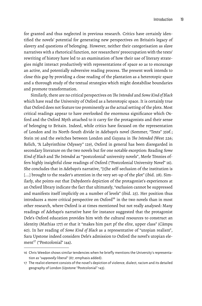for granted and thus neglected in previous research. Critics have certainly identified the novels' potential for generating new perspectives on Britain's legacy of slavery and questions of belonging. However, neither their categorisation as slave narratives with a rhetorical function, nor researchers' preoccupation with the texts' rewriting of history have led to an examination of how their use of literary strategies might interact productively with representations of space so as to encourage an active, and potentially subversive reading process. The present work intends to close this gap by providing a close reading of the plantation as a heterotopic space and a thorough study of the textual strategies which might destabilise boundaries and promote transformation.

Similarly, there are no critical perspectives on *The Intended* and *Some Kind of Black* which have read the University of Oxford as a heterotopic space. It is certainly true that Oxford does not feature too prominently as the actual setting of the plots. Most critical readings appear to have overlooked the enormous significance which Oxford and the Oxford Myth attached to it carry for the protagonists and their sense of belonging to Britain. Indeed, while critics have focused on the representation of London and its North-South divide in Adebayo's novel (Sommer, "Texts" 359f.; Stein 19) and the switches between London and Guyana in *The Intended* (West 226; Relich, "A Labyrinthine Odyssey" 129), Oxford in general has been disregarded in secondary literature on the two novels but for one notable exception: Reading *Some Kind of Black* and *The Intended* as "'postcolonial' university novels", Merle Tönnies offers highly insightful close readings of Oxford ("Postcolonial University Novel" 16). She concludes that in Adebayo's narrative, "[t]he self‐seclusion of the institution is [...] brought to the reader's attention in the very set-up of the plot" (ibid. 28). Similarly, she points out that Dabydeen's depiction of the protagonist's experiences at an Oxford library indicate the fact that ultimately, "exclusion cannot be suppressed and manifests itself implicitly on a number of levels" (ibid. 25). Her position thus introduces a more critical perspective on Oxford<sup>16</sup> in the two novels than in most other research, where Oxford is at times mentioned but not really analysed: Many readings of Adebayo's narrative have for instance suggested that the protagonist Dele's Oxford education provides him with the cultural resources to construct an identity (Mathias 177) or that it "makes him part pf the elite, upper class" (Câmpu 60). In her reading of *Some Kind of Black* as a representative of "utopian realism", Sara Upstone indeed considers Dele's admission to Oxford the novel's utopian element<sup>17</sup> ("Postcolonial" 144).

<sup>16</sup> Chris Weedon shows similar tendencies when he briefly mentions the University's representation as "*supposedly* liberal" (87, emphasis added).

<sup>17</sup> The realist element consists of the novel's depiction of violence, dialect, racism and its detailed geography of London (Upstone "Postcolonial" 143).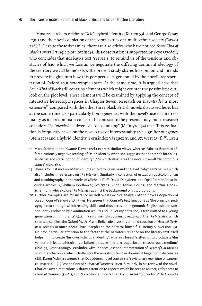Most researchers celebrate Dele's hybrid identity (Kurtén 53f. and George Sesay 103f.) and the novel's depiction of the complexities of a multi‐ethnic society (Dawes 22f.)18. Despite those dynamics, there are also critics who have noticed *Some Kind of Black*'s overall "tragic plot" (Stein 19). This observation is supported by Koye Oyedeji, who concludes that Adebayo's text "serves[s] to remind us of the tensions and obstacles of [sic] which we face as we negotiate the differing dominant ideology of the territory we call home" (370). The present study shares his opinion and intends to provide insights into how this perspective is generated by the novel's representation of Oxford as a heterotopic space. At the same time, it is argued here that *Some Kind of Black* still contains elements which might counter the pessimistic outlook on the plot level. These elements will be examined by applying the concept of interactive heterotopic spaces in Chapter Seven. Research on *The Intended* is most extensive<sup>19</sup> compared with the other three black British novels discussed here, but at the same time also particularly homogeneous, with the novel's use of intertextuality as its predominant concern. In contrast to the present study, most research considers *The Intended* a subversive, "decolonizing" (McIntyre 154) text. This evaluation is frequently based on the novel's use of intertextuality as a signifier of agency (Stein 169) and a hybrid identity (Fernández Vázquez 81 and 87; West 234f.)<sup>20</sup>. Even

<sup>18</sup> Mark Stein (19) and Kwame Dawes (22f.) express similar views, whereas Sabrina Brancato offers a curiously negative reading of Dele's identity when she suggests that he stands for an "essentialist and static notion of identity" (60) which illustrates the novel's overall "dichotomous stance" (ibid. 64).

<sup>19</sup> There is for instance an edited volume edited by Kevin Grand on David Dabydeen's oeuvre which also includes three essays on *The Intended.* Similarly, a collection of essays on postcolonialism and autobiography in the works of Michelle Cliff, David Dabydeen, and Opal Palmer Adisa includes articles by William Boelhower, Wolfgang Binder, Tobias Döring, and Martina Ghosh-Schellhorn, who explore *The Intended* against the background of autobiography.

<sup>20</sup> Further examples are for instance Russell West-Pavlov's analysis of the novel's depiction of Joseph Conrad's *Heart of Darkness*. He argues that Conrad's text functions as "the principal pedagogic text through which reading skills, and thus access to hegemonic English culture, subsequently endorsed by examination results and university entrance, is transmitted to a young generation of immigrants" (52). In a surprinsingly optimistic reading of the *The Intended*, which seems to confirm the Oxford Myth, Mario Relich observes that their discussion of *Heart of Darkness* "reveals so much about Shaz, Joseph and the narrator himself" ("Literary Subversion" 55). He pays particular attention to the fact that the narrator's reliance on the literary text itself helps him to create "his own individual identity", whereas Joseph's attempt to produce a film version of it leads to his ultimate failure"because film turns out to be too treacherous a medium" (ibid. 53). José Santiago Fernández Vázquez sees Joseph's interpretation of *Heart of Darkness* as a counter‐discourse which challenges the narrator's trust in dominant hegemonic discourses (88). Karen McIntyre argues that Dabydeen's novel contains a "revisionary rewriting of canonical material – […] Joseph Conrad's *Heart of Darkness*" (159). Similarly, in his review of the novel, Charles Sarvan meticulously draws attention to aspects which he sees as (direct) references to *Heart of Darkness* (58-61), and Mark Stein suggests that *The Intended* "'writes back'" to Conrad's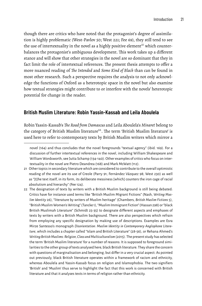though there are critics who have noted that the protagonist's degree of assimilation is highly problematic (West-Pavlov 50; West 221; Fee 69), they still tend to see the use of intertextuality in the novel as a highly positive element<sup>21</sup> which counterbalances the protagonist's ambiguous development. This work takes up a different stance and will show that other strategies in the novel are so dominant that they in fact limit the role of intertextual references. The present thesis attempts to offer a more nuanced reading of *The Intended* and *Some Kind of Black* than can be found in most other research. Such a perspective requires the analysis to not only acknowledge the functions of Oxford as a heterotopic space in the novel but also examine how textual strategies might contribute to or interfere with the novels' heterotopic potential for change in the reader.

#### **British Muslim Literature: Robin Yassin-Kassab and Leila Aboulela**

Robin Yassin-Kassab's *The Road from Damascus* and Leila Aboulela's *Minaret* belong to the category of British Muslim literature<sup>22</sup>. The term 'British Muslim literature' is used here to refer to contemporary texts by British Muslim writers which mirror a

novel (164) and thus concludes that the novel foregrounds "textual agency" (ibid. 169). For a discussion of further intertextual references in the novel, including William Shakespeare and William Wordsworth, see Jutta Schamp (134-140). Other examples of critics who focus on intertextuality in the novel are Pietro Deandrea (168) and Mark McWatt (112).

<sup>21</sup> Other topics in secondary literature which are considered to contribute to the overall optimistic reading of the novel are its use of Creole (Parry 91; Fernández Vázquez 98; West 230) as well as "[t]he text itself, in its form, its deliberate messiness [which] counters the iron cage of racial absolutism and hierarchy" (Fee 124).

<sup>22</sup> The designation of texts by writers with a British Muslim background is still being debated: Critics have for instance used terms like "British Muslim Migrant Fictions" (Nash, *Writing Muslim Identity* 26), "literature by writers of Muslim heritage" (Chambers, *British Muslim Fictions* 5), "British MuslimWomen'sWriting"(Tancke 1),"Muslim Immigrant Fiction"(Hassan 298) or"black British Muslimah Literature" (Schmidt 25-35) to designate different aspects and emphases of texts by writers with a British Muslim background. There are also perspectives which refrain from employing any specific designation by making use of descriptions. Examples are Esra Mirze Santesso's monograph *Disorientation: Muslim Identity in Contemporary Anglophone Literature*, which includes a chapter called "Islam and British Literature" (28-56), or Rehana Ahmed's *Writing British Muslims: Religion, Class and Multiculturalism*(2015). The present study has selected the term 'British Muslim literature' for a number of reasons: It is supposed to foreground similarities to the other group of texts analysed here, black British literature. They share the concern with questions of marginalisation and belonging, but differ in a very crucial aspect: As pointed out previously, black British literature operates within a framework of racism and ethnicity, whereas Aboulela and Yassin-Kassab focus on religion and Islamophobia. The two signifiers 'British' and 'Muslim' thus serve to highlight the fact that this work is concerned with British literature and that it analyses texts in terms of religion rather than ethnicity.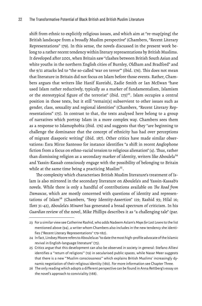shift from ethnic to explicitly religious issues, and which aim at "re‐map[ping] the British landscape from a broadly Muslim perspective" (Chambers, "Recent Literary Representations" 179). In this sense, the novels discussed in the present work belong to a rather recent tendency within literary representations by British Muslims. It developed after 2001, when Britain saw "clashes between British South Asian and white youths in the northern English cities of Burnley, Oldham and Bradford" and the 9/11 attacks led to "the so-called 'war on terror'" (ibid. 176). This does not mean that literature in Britain did not focus on Islam before those events. Rather, Chambers argues that writers like Hanif Kureishi, Zadie Smith or Ian McEwan "have used Islam rather reductively, typically as a marker of fundamentalism, Islamism or the stereotypical figure of the terrorist" (ibid.  $175)^{23}$ . Islam occupies a central position in those texts, but it still "remain[s] subservient to other issues such as gender, class, sexuality and regional identities" (Chambers, "Recent Literary Representations" 175). In contrast to that, the texts analysed here belong to a group of narratives which portray Islam in a more complex way. Chambers sees them as a response to Islamophobia (ibid. 176) and suggests that they "are beginning to challenge the dominance that the concept of ethnicity has had over perceptions of migrant diasporic writing" (ibid. 187). Other critics have made similar observations: Esra Mirze Santesso for instance identifies "a shift in recent Anglophone fiction from a focus on ethno‐racial tension to religious alienation" (4). Thus, rather than dismissing religion as a secondary marker of identity, writers like Aboulela<sup>24</sup> and Yassin-Kassab consciously engage with the possibility of belonging to Britain while at the same time being a practicing Muslim<sup>25</sup>.

The complexity which characterises British Muslim literature's treatment of Islam is also mirrored in the secondary literature on Aboulela's and Yassin-Kassab's novels. While there is only a handful of contributions available on *The Road from Damascus*, which are mostly concerned with questions of identity and representations of Islam<sup>26</sup> (Chambers, "Sexy Identity-Assertion" 119; Rashid 93; Hilal 16; Ilott 31-42), Aboulela's *Minaret* has generated a broad spectrum of criticism. In his *Guardian* review of the novel, Mike Phillips describes it as "a challenging tale" (par.

<sup>23</sup> For a similar view see Catherine Rashid, who adds Nadeem Aslam's *Maps for Lost Lovers*to the list mentioned above (94), a writer whom Chambers also includes in the new tendency she identifies ("Recent Literary Representations" 179-182).

<sup>24</sup> In fact, Lindsey Moore refers to Aboulela as "to date the most high-profile advocate of the Islamic revival in English‐language literature" (75).

<sup>25</sup> Critics argue that this development can also be observed in society in general: Stefano Allievi identifies a "'return of religions'" (19) in secularised public spaces, while Nasar Meer suggests that there is a new "'Muslim consciousness'" which explains British Muslims' increasingly dynamic negotiation of their religious identity (180). For more information see Chapter Three.

<sup>26</sup> The only reading which adopts a different perspective can be found in Anna Rettberg's essay on the novel's approach to conviviality (188).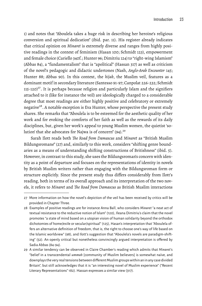1) and notes that "Aboulela takes a huge risk in describing her heroine's religious conversion and spiritual dedication" (ibid. par. 11). His register already indicates that critical opinion on *Minaret* is extremely diverse and ranges from highly positive readings in the context of feminism (Hasan 100; Schmidt 123), empowerment and female choice (Cariello 340f.; Hunter 96; Dimitriu 124) to "right‐wing Islamism" (Abbas 84), a "fundamentalism" that is "apolitical" (Hassan 317) as well as criticism of the novel's pedagogic and didactic undertones (Nash, *Anglo-Arab Encounter* 145; Hunter 88; Abbas 90). In this context, the *hijab*, the Muslim veil, features as a dominant motif in secondary literature (Santesso 91-97; Canpolat 226-232; Schmidt  $115$ -120)<sup>27</sup>. It is perhaps because religion and particularly Islam and the signifiers attached to it (like for instance the veil) are ideologically charged to a considerable degree that most readings are either highly positive and celebratory or extremely negative<sup>28</sup>. A notable exception is Eva Hunter, whose perspective the present study shares. She remarks that "Aboulela is to be esteemed for the aesthetic quality of her work and for evoking the comforts of her faith as well as the rewards of its daily disciplines, but, given her work's appeal to young Muslim women, the quietist 'solution' that she advocates for Najwa is of concern"  $(94)$ .<sup>29</sup>

Sarah Ilott reads both *The Road from Damascus* and *Minaret* as "British Muslim Bildungsromane" (27) and, similarly to this work, considers "shifting genre boundaries as a means of understanding shifting constructions of Britishness" (ibid. 5). However, in contrast to this study, she uses the Bildungsroman's concern with identity as a point of departure and focuses on the representations of identity in novels by British Muslim writers rather than engaging with the Bildungsroman form or structure explicitly. Since the present study thus differs considerably from Ilott's reading, both in terms of its overall approach and its interpretation of the two novels, it refers to *Minaret* and *The Road from Damascus* as British Muslim interactions

<sup>27</sup> More information on how the novel's depiction of the veil has been received by critics will be provided in Chapter Three.

<sup>28</sup> Examples of positive readings are for instance Anna Ball, who considers *Minaret* "a neat act of textual resistance to the reductive notion of Islam" (120), Ileana Dimitriu's claim that the novel promotes "a state of mind based on a utopian vision of human solidarity beyond the orthodox dichotomies of home/exile or secular/spiritual" (125), Hasan's interpretation that "Aboulela offers an alternative definition of freedom, that is, the right to choose one's way of life based on the Islamic worldview" (98), and Ilott's suggestion that "Aboulela's novels are paradigm‐shifting" (52). An openly critical but nonetheless convincingly argued interpretation is offered by Sadia Abbas (84-94).

<sup>29</sup> A similar tendency can be observed in Claire Chamber's reading which admits that *Minaret*'s "belief in a transcendental *ummah* [community of Muslim believers] is somewhat naïve, and downplays the very real tensions between different Muslim groups within an in any case divided Britain", but still acknowledges that it is "an interesting novel of Muslim experience" ("Recent Literary Representations" 182). Hassan expresses a similar view (317).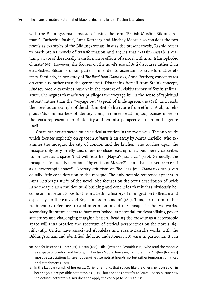with the Bildungsroman instead of using the term 'British Muslim Bildungsromane'. Catherine Rashid, Anna Rettberg and Lindsey Moore also consider the two novels as examples of the Bildungsroman. Just as the present thesis, Rashid refers to Mark Stein's 'novels of transformation' and argues that "Yassin-Kassab is certainly aware of the socially transformative effects of a novel within an Islamophobic climate" (95). However, she focuses on the novel's use of Sufi discourse rather than established Bildungsroman patterns in order to ascertain its transformative effects. Similarly, in her study of *The Road from Damascus*, Anna Rettberg concentrates on ethnicity rather than the genre itself. Distancing herself from Stein's concept, Lindsey Moore examines *Minaret* in the context of Felski's theory of feminist literature: She argues that *Minaret* privileges the "'voyage in'" in the sense of "spiritual retreat" rather than the "'voyage out'" typical of Bildungsromane (68f.) and reads the novel as an example of the shift in British literature from ethnic (Arab) to religious (Muslim) markers of identity. Thus, her interpretation, too, focuses more on the text's representation of identity and feminist perspectives than on the genre itself.

Space has not attracted much critical attention in the two novels.The only study which focuses explicitly on space in *Minaret* is an essay by Marta Cariello, who examines the mosque, the city of London and the kitchen. She touches upon the mosque only very briefly and offers no close reading of it, but merely describes its minaret as a space "that will host her [Najwa's] survival" (340). Generally, the mosque is frequently mentioned by critics of *Minaret*<sup>30</sup>, but it has not yet been read as a heterotopic space31. Literary criticism on *The Road from Damascus* has given equally little consideration to the mosque. The only notable reference appears in Anna Rettberg's study of the novel. She focuses on the text's description of Brick Lane mosque as a multicultural building and concludes that it "has obviously become an important topos for the multiethnic history of immigration to Britain and especially for the convivial Englishness in London" (185). Thus, apart from rather rudimentary references to and interpretations of the mosque in the two works, secondary literature seems to have overlooked its potential for destabilising power structures and challenging marginalisation. Reading the mosque as a heterotopic space will thus broaden the spectrum of critical perspectives on the novels significantly. Critics have associated Aboulela's and Yassin-Kassab's works with the Bildungsroman and identified didactic undertones in *Minaret* in particular. It can

<sup>30</sup> See for instance Hunter (91), Hasan (100), Hilal (129) and Schmidt (115), who read the mosque as a space of comfort and belonging. Lindsey Moore, however, has noted that "[h]her [Najwa's] mosque associations […] are not genuine attempts at friendship, but rather temporary alliances and attachments" (89).

<sup>31</sup> In the last paragraph of her essay, Cariello remarks that spaces like the ones she focused on in her analysis"are possible heterotopias" (349), but she does not refer to Foucault or explicate how she defines heterotopia, nor does she apply the concept to her reading.